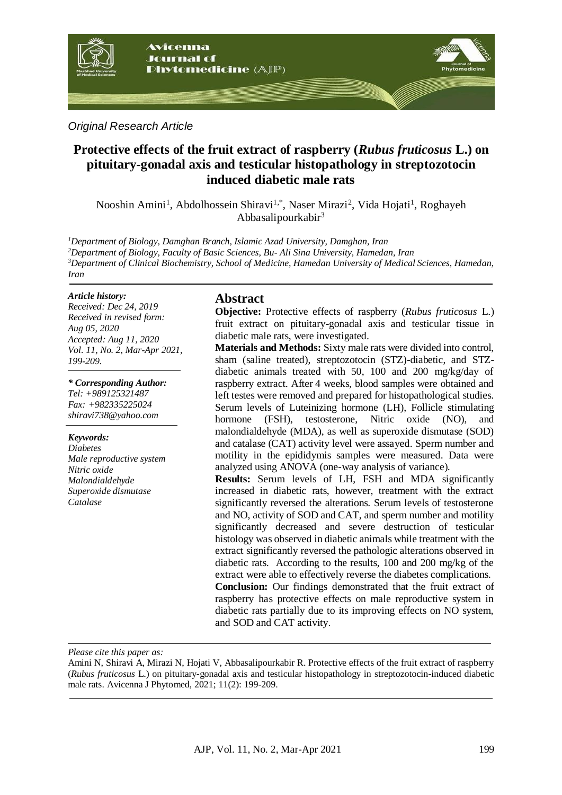

*Original Research Article*

# **Protective effects of the fruit extract of raspberry (***Rubus fruticosus* **L.) on pituitary-gonadal axis and testicular histopathology in streptozotocin induced diabetic male rats**

Nooshin Amini<sup>1</sup>, Abdolhossein Shiravi<sup>1,\*</sup>, Naser Mirazi<sup>2</sup>, Vida Hojati<sup>1</sup>, Roghayeh Abbasalipourkabir<sup>3</sup>

*Department of Biology, Damghan Branch, Islamic Azad University, Damghan, Iran Department of Biology, Faculty of Basic Sciences, Bu- Ali Sina University, Hamedan, Iran Department of Clinical Biochemistry, School of Medicine, Hamedan University of Medical Sciences, Hamedan, Iran*

#### *Article history:*

*Received: Dec 24, 2019 Received in revised form: Aug 05, 2020 Accepted: Aug 11, 2020 Vol. 11, No. 2, Mar-Apr 2021, 199-209.*

#### *\* Corresponding Author:*

*Tel: +989125321487 Fax: +982335225024 shiravi738@yahoo.com* 

#### *Keywords:*

*Diabetes Male reproductive system Nitric oxide Malondialdehyde Superoxide dismutase Catalase*

### **Abstract**

**Objective:** Protective effects of raspberry (*Rubus fruticosus* L.) fruit extract on pituitary-gonadal axis and testicular tissue in diabetic male rats, were investigated.

**Materials and Methods:** Sixty male rats were divided into control, sham (saline treated), streptozotocin (STZ)-diabetic, and STZdiabetic animals treated with 50, 100 and 200 mg/kg/day of raspberry extract. After 4 weeks, blood samples were obtained and left testes were removed and prepared for histopathological studies. Serum levels of Luteinizing hormone (LH), Follicle stimulating hormone (FSH), testosterone, Nitric oxide (NO), and malondialdehyde (MDA), as well as superoxide dismutase (SOD) and catalase (CAT) activity level were assayed. Sperm number and motility in the epididymis samples were measured. Data were analyzed using ANOVA (one-way analysis of variance).

**Results:** Serum levels of LH, FSH and MDA significantly increased in diabetic rats, however, treatment with the extract significantly reversed the alterations. Serum levels of testosterone and NO, activity of SOD and CAT, and sperm number and motility significantly decreased and severe destruction of testicular histology was observed in diabetic animals while treatment with the extract significantly reversed the pathologic alterations observed in diabetic rats. According to the results, 100 and 200 mg/kg of the extract were able to effectively reverse the diabetes complications. **Conclusion:** Our findings demonstrated that the fruit extract of

raspberry has protective effects on male reproductive system in diabetic rats partially due to its improving effects on NO system, and SOD and CAT activity.

*Please cite this paper as:* 

Amini N, Shiravi A, Mirazi N, Hojati V, Abbasalipourkabir R. Protective effects of the fruit extract of raspberry (*Rubus fruticosus* L.) on pituitary-gonadal axis and testicular histopathology in streptozotocin-induced diabetic male rats. Avicenna J Phytomed, 2021; 11(2): 199-209.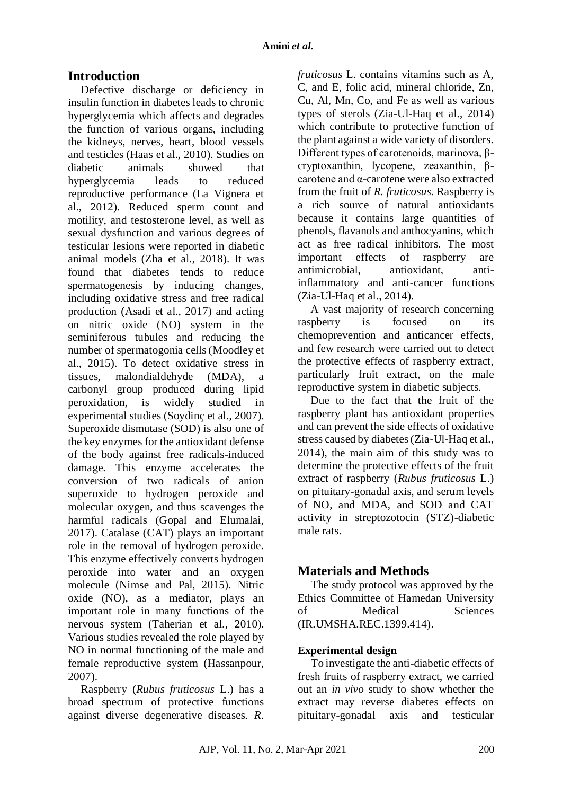# **Introduction**

Defective discharge or deficiency in insulin function in diabetes leads to chronic hyperglycemia which affects and degrades the function of various organs, including the kidneys, nerves, heart, blood vessels and testicles (Haas et al., 2010). Studies on diabetic animals showed that hyperglycemia leads to reduced reproductive performance (La Vignera et al., 2012). Reduced sperm count and motility, and testosterone level, as well as sexual dysfunction and various degrees of testicular lesions were reported in diabetic animal models (Zha et al., 2018). It was found that diabetes tends to reduce spermatogenesis by inducing changes, including oxidative stress and free radical production (Asadi et al., 2017) and acting on nitric oxide (NO) system in the seminiferous tubules and reducing the number of spermatogonia cells (Moodley et al., 2015). To detect oxidative stress in tissues, malondialdehyde (MDA), a carbonyl group produced during lipid peroxidation, is widely studied in experimental studies (Soydinç et al., 2007). Superoxide dismutase (SOD) is also one of the key enzymes for the antioxidant defense of the body against free radicals-induced damage. This enzyme accelerates the conversion of two radicals of anion superoxide to hydrogen peroxide and molecular oxygen, and thus scavenges the harmful radicals (Gopal and Elumalai, 2017). Catalase (CAT) plays an important role in the removal of hydrogen peroxide. This enzyme effectively converts hydrogen peroxide into water and an oxygen molecule (Nimse and Pal, 2015). Nitric oxide (NO), as a mediator, plays an important role in many functions of the nervous system (Taherian et al., 2010). Various studies revealed the role played by NO in normal functioning of the male and female reproductive system (Hassanpour, 2007).

Raspberry (*Rubus fruticosus* L.) has a broad spectrum of protective functions against diverse degenerative diseases. *R.*

*fruticosus* L. contains vitamins such as A, C, and E, folic acid, mineral chloride, Zn, Cu, Al, Mn, Co, and Fe as well as various types of sterols (Zia-Ul-Haq et al., 2014) which contribute to protective function of the plant against a wide variety of disorders. Different types of carotenoids, marinova, βcryptoxanthin, lycopene, zeaxanthin, βcarotene and α-carotene were also extracted from the fruit of *R. fruticosus*. Raspberry is a rich source of natural antioxidants because it contains large quantities of phenols, flavanols and anthocyanins, which act as free radical inhibitors. The most important effects of raspberry are antimicrobial, antioxidant, antiinflammatory and anti-cancer functions (Zia-Ul-Haq et al., 2014).

A vast majority of research concerning raspberry is focused on its chemoprevention and anticancer effects, and few research were carried out to detect the protective effects of raspberry extract, particularly fruit extract, on the male reproductive system in diabetic subjects.

Due to the fact that the fruit of the raspberry plant has antioxidant properties and can prevent the side effects of oxidative stress caused by diabetes (Zia-Ul-Haq et al., 2014), the main aim of this study was to determine the protective effects of the fruit extract of raspberry (*Rubus fruticosus* L.) on pituitary-gonadal axis, and serum levels of NO, and MDA, and SOD and CAT activity in streptozotocin (STZ)-diabetic male rats.

# **Materials and Methods**

The study protocol was approved by the Ethics Committee of Hamedan University of Medical Sciences (IR.UMSHA.REC.1399.414).

### **Experimental design**

To investigate the anti-diabetic effects of fresh fruits of raspberry extract, we carried out an *in vivo* study to show whether the extract may reverse diabetes effects on pituitary-gonadal axis and testicular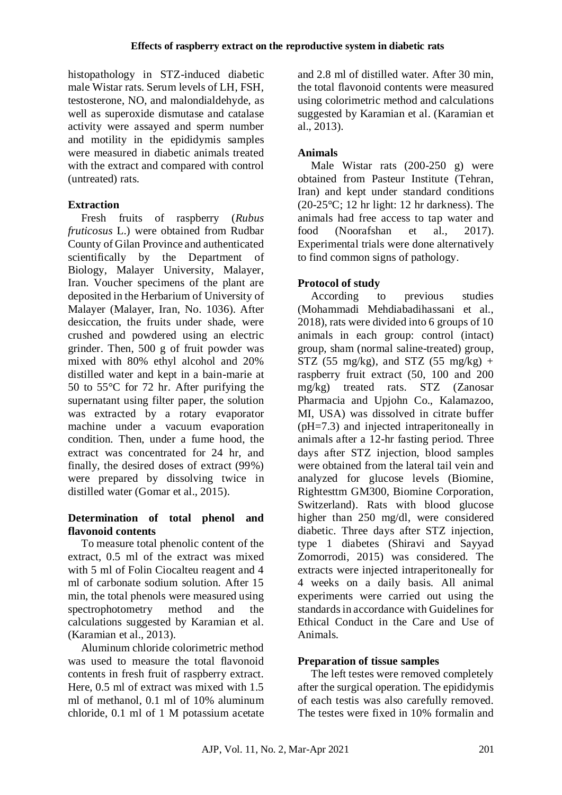histopathology in STZ-induced diabetic male Wistar rats. Serum levels of LH, FSH, testosterone, NO, and malondialdehyde, as well as superoxide dismutase and catalase activity were assayed and sperm number and motility in the epididymis samples were measured in diabetic animals treated with the extract and compared with control (untreated) rats.

# **Extraction**

Fresh fruits of raspberry (*Rubus fruticosus* L.) were obtained from Rudbar County of Gilan Province and authenticated scientifically by the Department of Biology, Malayer University, Malayer, Iran. Voucher specimens of the plant are deposited in the Herbarium of University of Malayer (Malayer, Iran, No. 1036). After desiccation, the fruits under shade, were crushed and powdered using an electric grinder. Then, 500 g of fruit powder was mixed with 80% ethyl alcohol and 20% distilled water and kept in a bain-marie at 50 to 55°C for 72 hr. After purifying the supernatant using filter paper, the solution was extracted by a rotary evaporator machine under a vacuum evaporation condition. Then, under a fume hood, the extract was concentrated for 24 hr, and finally, the desired doses of extract (99%) were prepared by dissolving twice in distilled water (Gomar et al., 2015).

## **Determination of total phenol and flavonoid contents**

To measure total phenolic content of the extract, 0.5 ml of the extract was mixed with 5 ml of Folin Ciocalteu reagent and 4 ml of carbonate sodium solution. After 15 min, the total phenols were measured using spectrophotometry method and the calculations suggested by Karamian et al. (Karamian et al., 2013).

Aluminum chloride colorimetric method was used to measure the total flavonoid contents in fresh fruit of raspberry extract. Here, 0.5 ml of extract was mixed with 1.5 ml of methanol, 0.1 ml of 10% aluminum chloride, 0.1 ml of 1 M potassium acetate

and 2.8 ml of distilled water. After 30 min, the total flavonoid contents were measured using colorimetric method and calculations suggested by Karamian et al. (Karamian et al., 2013).

# **Animals**

Male Wistar rats (200-250 g) were obtained from Pasteur Institute (Tehran, Iran) and kept under standard conditions  $(20-25\degree C; 12 \text{ hr}$  light: 12 hr darkness). The animals had free access to tap water and food (Noorafshan et al., 2017). Experimental trials were done alternatively to find common signs of pathology.

# **Protocol of study**

According to previous studies (Mohammadi Mehdiabadihassani et al., 2018), rats were divided into 6 groups of 10 animals in each group: control (intact) group, sham (normal saline-treated) group, STZ (55 mg/kg), and STZ (55 mg/kg) + raspberry fruit extract (50, 100 and 200 mg/kg) treated rats. STZ (Zanosar Pharmacia and Upjohn Co., Kalamazoo, MI, USA) was dissolved in citrate buffer (pH=7.3) and injected intraperitoneally in animals after a 12-hr fasting period. Three days after STZ injection, blood samples were obtained from the lateral tail vein and analyzed for glucose levels (Biomine, Rightesttm GM300, Biomine Corporation, Switzerland). Rats with blood glucose higher than 250 mg/dl, were considered diabetic. Three days after STZ injection, type 1 diabetes (Shiravi and Sayyad Zomorrodi, 2015) was considered. The extracts were injected intraperitoneally for 4 weeks on a daily basis. All animal experiments were carried out using the standards in accordance with Guidelines for Ethical Conduct in the Care and Use of Animals.

## **Preparation of tissue samples**

The left testes were removed completely after the surgical operation. The epididymis of each testis was also carefully removed. The testes were fixed in 10% formalin and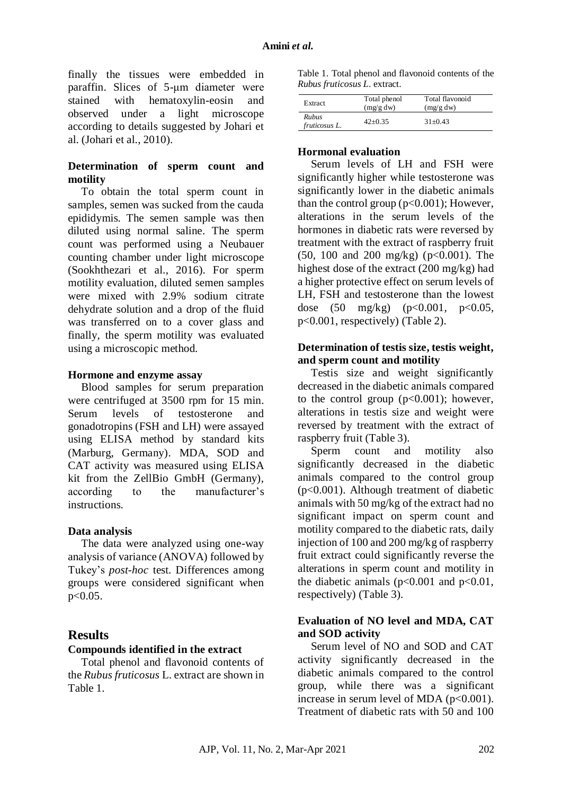finally the tissues were embedded in paraffin. Slices of 5-μm diameter were stained with hematoxylin-eosin and observed under a light microscope according to details suggested by Johari et al. (Johari et al., 2010).

### **Determination of sperm count and motility**

To obtain the total sperm count in samples, semen was sucked from the cauda epididymis. The semen sample was then diluted using normal saline. The sperm count was performed using a Neubauer counting chamber under light microscope (Sookhthezari et al., 2016). For sperm motility evaluation, diluted semen samples were mixed with 2.9% sodium citrate dehydrate solution and a drop of the fluid was transferred on to a cover glass and finally, the sperm motility was evaluated using a microscopic method.

#### **Hormone and enzyme assay**

Blood samples for serum preparation were centrifuged at 3500 rpm for 15 min. Serum levels of testosterone and gonadotropins (FSH and LH) were assayed using ELISA method by standard kits (Marburg, Germany). MDA, SOD and CAT activity was measured using ELISA kit from the ZellBio GmbH (Germany), according to the manufacturer's instructions.

#### **Data analysis**

The data were analyzed using one-way analysis of variance (ANOVA) followed by Tukey's *post-hoc* test. Differences among groups were considered significant when  $p < 0.05$ .

### **Results**

#### **Compounds identified in the extract**

Total phenol and flavonoid contents of the *Rubus fruticosus* L. extract are shown in Table 1.

Table 1. Total phenol and flavonoid contents of the *Rubus fruticosus L*. extract.

| Extract                       | Total phenol<br>(mg/g dw) | Total flavonoid<br>(mg/g dw) |  |
|-------------------------------|---------------------------|------------------------------|--|
| <b>Rubus</b><br>fruticosus L. | $42+0.35$                 | $31+0.43$                    |  |

#### **Hormonal evaluation**

Serum levels of LH and FSH were significantly higher while testosterone was significantly lower in the diabetic animals than the control group  $(p<0.001)$ ; However, alterations in the serum levels of the hormones in diabetic rats were reversed by treatment with the extract of raspberry fruit  $(50, 100 \text{ and } 200 \text{ mg/kg})$  ( $p<0.001$ ). The highest dose of the extract (200 mg/kg) had a higher protective effect on serum levels of LH, FSH and testosterone than the lowest dose (50 mg/kg) (p<0.001, p<0.05, p<0.001, respectively) (Table 2).

#### **Determination of testis size, testis weight, and sperm count and motility**

Testis size and weight significantly decreased in the diabetic animals compared to the control group  $(p<0.001)$ ; however, alterations in testis size and weight were reversed by treatment with the extract of raspberry fruit (Table 3).

Sperm count and motility also significantly decreased in the diabetic animals compared to the control group (p<0.001). Although treatment of diabetic animals with 50 mg/kg of the extract had no significant impact on sperm count and motility compared to the diabetic rats, daily injection of 100 and 200 mg/kg of raspberry fruit extract could significantly reverse the alterations in sperm count and motility in the diabetic animals  $(p<0.001$  and  $p<0.01$ , respectively) (Table 3).

### **Evaluation of NO level and MDA, CAT and SOD activity**

Serum level of NO and SOD and CAT activity significantly decreased in the diabetic animals compared to the control group, while there was a significant increase in serum level of MDA  $(p<0.001)$ . Treatment of diabetic rats with 50 and 100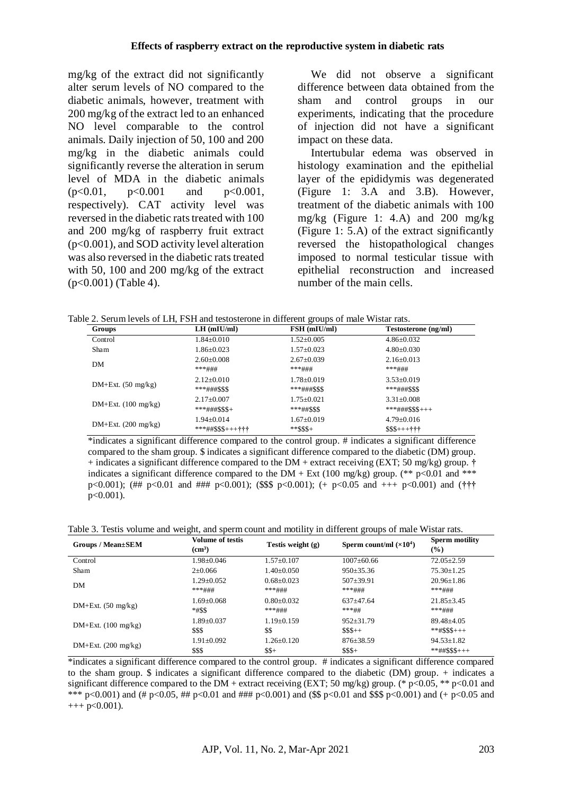mg/kg of the extract did not significantly alter serum levels of NO compared to the diabetic animals, however, treatment with 200 mg/kg of the extract led to an enhanced NO level comparable to the control animals. Daily injection of 50, 100 and 200 mg/kg in the diabetic animals could significantly reverse the alteration in serum level of MDA in the diabetic animals  $(p<0.01, p<0.001$  and  $p<0.001$ , respectively). CAT activity level was reversed in the diabetic rats treated with 100 and 200 mg/kg of raspberry fruit extract (p<0.001), and SOD activity level alteration was also reversed in the diabetic rats treated with 50, 100 and 200 mg/kg of the extract (p<0.001) (Table 4).

We did not observe a significant difference between data obtained from the sham and control groups in our experiments, indicating that the procedure of injection did not have a significant impact on these data.

Intertubular edema was observed in histology examination and the epithelial layer of the epididymis was degenerated (Figure 1: 3.A and 3.B). However, treatment of the diabetic animals with 100 mg/kg (Figure 1: 4.A) and 200 mg/kg (Figure 1: 5.A) of the extract significantly reversed the histopathological changes imposed to normal testicular tissue with epithelial reconstruction and increased number of the main cells.

Table 2. Serum levels of LH, FSH and testosterone in different groups of male Wistar rats.

| Groups                | $LH$ (mIU/ml)             | FSH (mIU/ml)     | Testosterone (ng/ml) |
|-----------------------|---------------------------|------------------|----------------------|
| Control               | $1.84 \pm 0.010$          | $1.52 \pm 0.005$ | $4.86 \pm 0.032$     |
| Sham                  | $1.86 \pm 0.023$          | $1.57 \pm 0.023$ | $4.80 \pm 0.030$     |
| DM                    | $2.60 \pm 0.008$          | $2.67 \pm 0.039$ | $2.16 \pm 0.013$     |
|                       | ***###                    | ***###           | ***###               |
| $DM+Ext. (50 mg/kg)$  | $2.12+0.010$              | $1.78 \pm 0.019$ | $3.53 \pm 0.019$     |
|                       | ***###\$\$\$              | ***###\$\$\$     | $***\#~+$ \$\$\$     |
| $DM+Ext. (100 mg/kg)$ | $2.17 \pm 0.007$          | $1.75 \pm 0.021$ | $3.31 \pm 0.008$     |
|                       | $***$ ###\$\$\$+          | ***##\$\$\$      | $***$ ###\$\$\$+++   |
| $DM+Ext.$ (200 mg/kg) | $1.94 \pm 0.014$          | $1.67+0.019$     | $4.79 \pm 0.016$     |
|                       | ***##\$\$\$+++ <b>+++</b> | $*$ *S\$\$+      | $$S5++++++$          |

\*indicates a significant difference compared to the control group. # indicates a significant difference compared to the sham group. \$ indicates a significant difference compared to the diabetic (DM) group. + indicates a significant difference compared to the DM + extract receiving (EXT; 50 mg/kg) group. **†** indicates a significant difference compared to the DM + Ext (100 mg/kg) group. (\*\* p<0.01 and \*\*\* p<0.001); (## p<0.01 and ### p<0.001); (\$\$\$ p<0.001); (+ p<0.05 and +++ p<0.001) and (**†††** p<0.001).

Table 3. Testis volume and weight, and sperm count and motility in different groups of male Wistar rats.

| Groups / Mean±SEM     | <b>Volume of testis</b><br>(cm <sup>3</sup> ) | Testis weight $(g)$ | Sperm count/ml $(\times 10^4)$ | <b>Sperm motility</b><br>$\left(\frac{0}{0}\right)$ |
|-----------------------|-----------------------------------------------|---------------------|--------------------------------|-----------------------------------------------------|
| Control               | $1.98 \pm 0.046$                              | $1.57 \pm 0.107$    | $1007 \pm 60.66$               | $72.05 \pm 2.59$                                    |
| Sham                  | $2\pm 0.066$                                  | $1.40 \pm 0.050$    | $950 \pm 35.36$                | $75.30 \pm 1.25$                                    |
| DM                    | $1.29 + 0.052$                                | $0.68 + 0.023$      | $507 + 39.91$                  | $20.96 + 1.86$                                      |
|                       | ***###                                        | ***###              | ***###                         | ***###                                              |
| $DM+Ext. (50 mg/kg)$  | $1.69 + 0.068$                                | $0.80 + 0.032$      | $637+47.64$                    | $21.85 \pm 3.45$                                    |
|                       | *#\$\$                                        | ***###              | ***##                          | ***###                                              |
| $DM+Ext. (100 mg/kg)$ | $1.89 + 0.037$                                | $1.19\pm0.159$      | $952 + 31.79$                  | $89.48 \pm 4.05$                                    |
|                       | \$\$\$                                        | \$\$                | $$S5++$                        | $***$ #\$\$\$+++                                    |
| $DM+Ext. (200 mg/kg)$ | $1.91 + 0.092$                                | $1.26 \pm 0.120$    | $876 \pm 38.59$                | $94.53 \pm 1.82$                                    |
|                       | \$\$\$                                        | $$+$                | $$S5+$                         | $***\##SSS+++$                                      |

\*indicates a significant difference compared to the control group. # indicates a significant difference compared to the sham group. \$ indicates a significant difference compared to the diabetic (DM) group. + indicates a significant difference compared to the DM + extract receiving (EXT; 50 mg/kg) group. (\* p<0.05, \*\* p<0.01 and \*\*\* p<0.001) and (# p<0.05, ## p<0.01 and ### p<0.001) and (\$\$ p<0.01 and \$\$\$ p<0.001) and (+ p<0.05 and  $+++$  p $< 0.001$ ).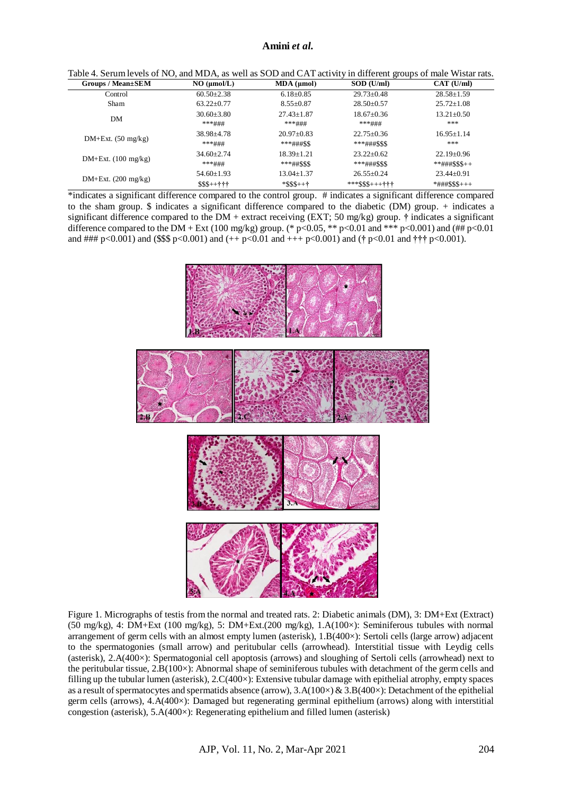#### **Amini** *et al.*

| Groups / Mean±SEM     | NO (µmol/L)    | $MDA$ ( $\mu$ mol) | SOD (U/ml)             | CAT (U/ml)              |
|-----------------------|----------------|--------------------|------------------------|-------------------------|
| Control               | $60.50 + 2.38$ | $6.18 \pm 0.85$    | $29.73 \pm 0.48$       | $28.58 \pm 1.59$        |
| <b>Sham</b>           | $63.22+0.77$   | $8.55 + 0.87$      | $28.50 + 0.57$         | $25.72 + 1.08$          |
| DM                    | $30.60 + 3.80$ | $27.43 + 1.87$     | $18.67+0.36$           | $13.21 + 0.50$          |
|                       | ***###         | ***###             | ***###                 | ***                     |
| $DM+Ext. (50 mg/kg)$  | 38.98+4.78     | $20.97+0.83$       | $22.75+0.36$           | $16.95 + 1.14$          |
|                       | ***###         | $***\#~#$ \$\$     | ***###\$\$\$           | ***                     |
| $DM+Ext. (100 mg/kg)$ | $34.60 + 2.74$ | $18.39 + 1.21$     | $23.22+0.62$           | $22.19 + 0.96$          |
|                       | ***###         | $***\#4SSS$        | ***###\$\$\$           | $***\# \# \# \$$ \$\$++ |
| $DM+Ext.$ (200 mg/kg) | $54.60+1.93$   | $13.04 + 1.37$     | $26.55+0.24$           | $23.44+0.91$            |
|                       | $$$ \$\$++†††  | $*$ \$\$\$++†      | *** $$$ + + + + + + +$ | $*$ ###\$\$\$+++        |

\*indicates a significant difference compared to the control group. # indicates a significant difference compared to the sham group. \$ indicates a significant difference compared to the diabetic (DM) group. + indicates a significant difference compared to the DM + extract receiving (EXT; 50 mg/kg) group. **†** indicates a significant difference compared to the DM + Ext (100 mg/kg) group. (\* p<0.05, \*\* p<0.01 and \*\*\* p<0.001) and (## p<0.01 and ### p<0.001) and (\$\$\$ p<0.001) and (++ p<0.01 and +++ p<0.001) and (**†** p<0.01 and **†††** p<0.001).



Figure 1. Micrographs of testis from the normal and treated rats. 2: Diabetic animals (DM), 3: DM+Ext (Extract) (50 mg/kg), 4: DM+Ext (100 mg/kg), 5: DM+Ext.(200 mg/kg), 1.A(100×): Seminiferous tubules with normal arrangement of germ cells with an almost empty lumen (asterisk), 1.B(400×): Sertoli cells (large arrow) adjacent to the spermatogonies (small arrow) and peritubular cells (arrowhead). Interstitial tissue with Leydig cells (asterisk), 2.A(400×): Spermatogonial cell apoptosis (arrows) and sloughing of Sertoli cells (arrowhead) next to the peritubular tissue, 2.B(100×): Abnormal shape of seminiferous tubules with detachment of the germ cells and filling up the tubular lumen (asterisk), 2.C(400×): Extensive tubular damage with epithelial atrophy, empty spaces as a result of spermatocytes and spermatids absence (arrow),  $3.A(100\times) & 3.B(400\times)$ : Detachment of the epithelial germ cells (arrows), 4.A(400×): Damaged but regenerating germinal epithelium (arrows) along with interstitial congestion (asterisk), 5.A(400×): Regenerating epithelium and filled lumen (asterisk)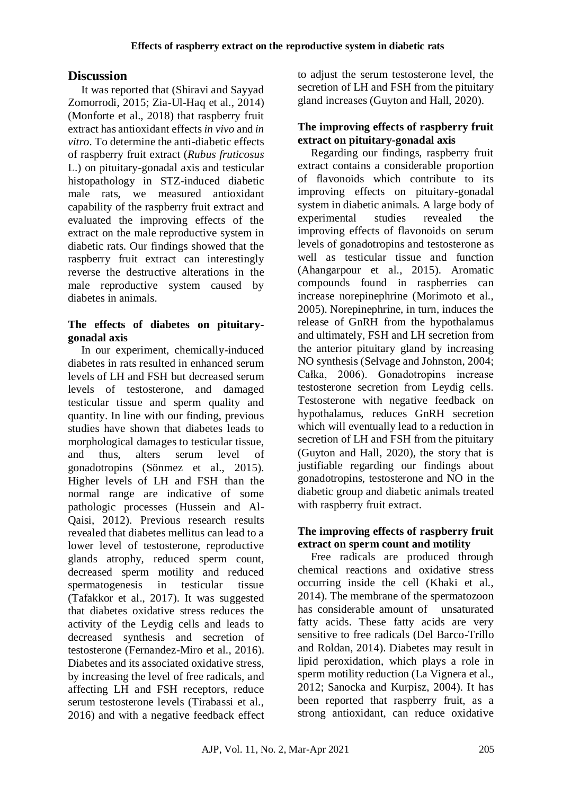# **Discussion**

It was reported that (Shiravi and Sayyad Zomorrodi, 2015; Zia-Ul-Haq et al., 2014) (Monforte et al., 2018) that raspberry fruit extract has antioxidant effects *in vivo* and *in vitro*. To determine the anti-diabetic effects of raspberry fruit extract (*Rubus fruticosus* L.) on pituitary-gonadal axis and testicular histopathology in STZ-induced diabetic male rats, we measured antioxidant capability of the raspberry fruit extract and evaluated the improving effects of the extract on the male reproductive system in diabetic rats. Our findings showed that the raspberry fruit extract can interestingly reverse the destructive alterations in the male reproductive system caused by diabetes in animals.

## **The effects of diabetes on pituitarygonadal axis**

In our experiment, chemically-induced diabetes in rats resulted in enhanced serum levels of LH and FSH but decreased serum levels of testosterone, and damaged testicular tissue and sperm quality and quantity. In line with our finding, previous studies have shown that diabetes leads to morphological damages to testicular tissue, and thus, alters serum level of gonadotropins (Sönmez et al., 2015). Higher levels of LH and FSH than the normal range are indicative of some pathologic processes (Hussein and Al-Qaisi, 2012). Previous research results revealed that diabetes mellitus can lead to a lower level of testosterone, reproductive glands atrophy, reduced sperm count, decreased sperm motility and reduced spermatogenesis in testicular tissue (Tafakkor et al., 2017). It was suggested that diabetes oxidative stress reduces the activity of the Leydig cells and leads to decreased synthesis and secretion of testosterone (Fernandez-Miro et al., 2016). Diabetes and its associated oxidative stress, by increasing the level of free radicals, and affecting LH and FSH receptors, reduce serum testosterone levels (Tirabassi et al., 2016) and with a negative feedback effect to adjust the serum testosterone level, the secretion of LH and FSH from the pituitary gland increases (Guyton and Hall, 2020).

### **The improving effects of raspberry fruit extract on pituitary-gonadal axis**

Regarding our findings, raspberry fruit extract contains a considerable proportion of flavonoids which contribute to its improving effects on pituitary-gonadal system in diabetic animals. A large body of experimental studies revealed the improving effects of flavonoids on serum levels of gonadotropins and testosterone as well as testicular tissue and function (Ahangarpour et al., 2015). Aromatic compounds found in raspberries can increase norepinephrine (Morimoto et al., 2005). Norepinephrine, in turn, induces the release of GnRH from the hypothalamus and ultimately, FSH and LH secretion from the anterior pituitary gland by increasing NO synthesis (Selvage and Johnston, 2004; Całka, 2006). Gonadotropins increase testosterone secretion from Leydig cells. Testosterone with negative feedback on hypothalamus, reduces GnRH secretion which will eventually lead to a reduction in secretion of LH and FSH from the pituitary (Guyton and Hall, 2020), the story that is justifiable regarding our findings about gonadotropins, testosterone and NO in the diabetic group and diabetic animals treated with raspberry fruit extract.

### **The improving effects of raspberry fruit extract on sperm count and motility**

Free radicals are produced through chemical reactions and oxidative stress occurring inside the cell (Khaki et al., 2014). The membrane of the spermatozoon has considerable amount of unsaturated fatty acids. These fatty acids are very sensitive to free radicals (Del Barco-Trillo and Roldan, 2014). Diabetes may result in lipid peroxidation, which plays a role in sperm motility reduction (La Vignera et al., 2012; Sanocka and Kurpisz, 2004). It has been reported that raspberry fruit, as a strong antioxidant, can reduce oxidative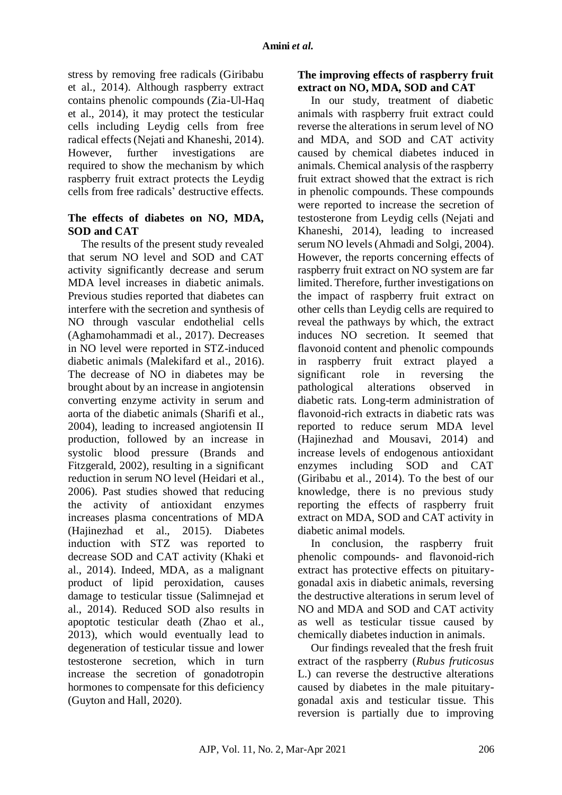stress by removing free radicals (Giribabu et al., 2014). Although raspberry extract contains phenolic compounds (Zia-Ul-Haq et al., 2014), it may protect the testicular cells including Leydig cells from free radical effects (Nejati and Khaneshi, 2014). However, further investigations are required to show the mechanism by which raspberry fruit extract protects the Leydig cells from free radicals' destructive effects.

### **The effects of diabetes on NO, MDA, SOD and CAT**

The results of the present study revealed that serum NO level and SOD and CAT activity significantly decrease and serum MDA level increases in diabetic animals. Previous studies reported that diabetes can interfere with the secretion and synthesis of NO through vascular endothelial cells (Aghamohammadi et al., 2017). Decreases in NO level were reported in STZ-induced diabetic animals (Malekifard et al., 2016). The decrease of NO in diabetes may be brought about by an increase in angiotensin converting enzyme activity in serum and aorta of the diabetic animals (Sharifi et al., 2004), leading to increased angiotensin II production, followed by an increase in systolic blood pressure (Brands and Fitzgerald, 2002), resulting in a significant reduction in serum NO level (Heidari et al., 2006). Past studies showed that reducing the activity of antioxidant enzymes increases plasma concentrations of MDA (Hajinezhad et al., 2015). Diabetes induction with STZ was reported to decrease SOD and CAT activity (Khaki et al., 2014). Indeed, MDA, as a malignant product of lipid peroxidation, causes damage to testicular tissue (Salimnejad et al., 2014). Reduced SOD also results in apoptotic testicular death (Zhao et al., 2013), which would eventually lead to degeneration of testicular tissue and lower testosterone secretion, which in turn increase the secretion of gonadotropin hormones to compensate for this deficiency (Guyton and Hall, 2020).

### **The improving effects of raspberry fruit extract on NO, MDA, SOD and CAT**

In our study, treatment of diabetic animals with raspberry fruit extract could reverse the alterations in serum level of NO and MDA, and SOD and CAT activity caused by chemical diabetes induced in animals. Chemical analysis of the raspberry fruit extract showed that the extract is rich in phenolic compounds. These compounds were reported to increase the secretion of testosterone from Leydig cells (Nejati and Khaneshi, 2014), leading to increased serum NO levels (Ahmadi and Solgi, 2004). However, the reports concerning effects of raspberry fruit extract on NO system are far limited. Therefore, further investigations on the impact of raspberry fruit extract on other cells than Leydig cells are required to reveal the pathways by which, the extract induces NO secretion. It seemed that flavonoid content and phenolic compounds in raspberry fruit extract played a significant role in reversing the pathological alterations observed in diabetic rats. Long-term administration of flavonoid-rich extracts in diabetic rats was reported to reduce serum MDA level (Hajinezhad and Mousavi, 2014) and increase levels of endogenous antioxidant enzymes including SOD and CAT (Giribabu et al., 2014). To the best of our knowledge, there is no previous study reporting the effects of raspberry fruit extract on MDA, SOD and CAT activity in diabetic animal models.

In conclusion, the raspberry fruit phenolic compounds- and flavonoid-rich extract has protective effects on pituitarygonadal axis in diabetic animals, reversing the destructive alterations in serum level of NO and MDA and SOD and CAT activity as well as testicular tissue caused by chemically diabetes induction in animals.

Our findings revealed that the fresh fruit extract of the raspberry (*Rubus fruticosus* L.) can reverse the destructive alterations caused by diabetes in the male pituitarygonadal axis and testicular tissue. This reversion is partially due to improving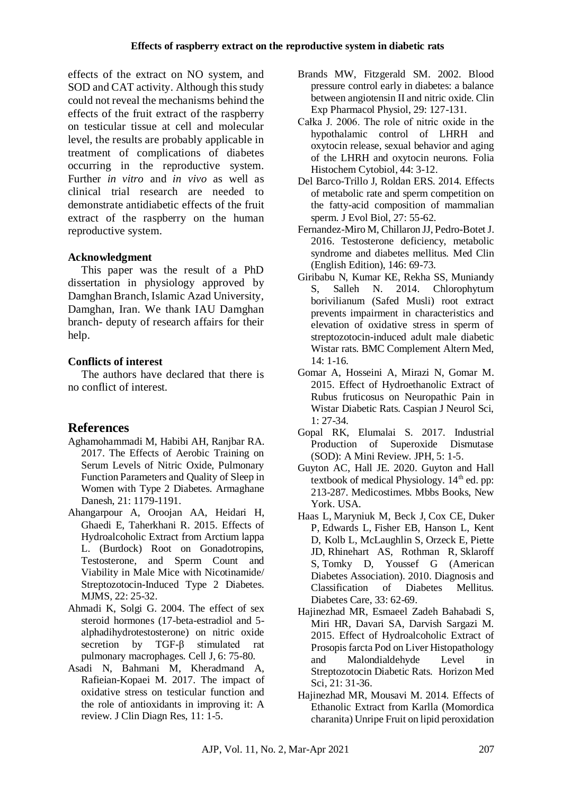effects of the extract on NO system, and SOD and CAT activity. Although this study could not reveal the mechanisms behind the effects of the fruit extract of the raspberry on testicular tissue at cell and molecular level, the results are probably applicable in treatment of complications of diabetes occurring in the reproductive system. Further *in vitro* and *in vivo* as well as clinical trial research are needed to demonstrate antidiabetic effects of the fruit extract of the raspberry on the human reproductive system.

# **Acknowledgment**

This paper was the result of a PhD dissertation in physiology approved by Damghan Branch, Islamic Azad University, Damghan, Iran. We thank IAU Damghan branch- deputy of research affairs for their help.

## **Conflicts of interest**

The authors have declared that there is no conflict of interest.

# **References**

- Aghamohammadi M, Habibi AH, Ranjbar RA. 2017. The Effects of Aerobic Training on Serum Levels of Nitric Oxide, Pulmonary Function Parameters and Quality of Sleep in Women with Type 2 Diabetes. Armaghane Danesh, 21: 1179-1191.
- Ahangarpour A, Oroojan AA, Heidari H, Ghaedi E, Taherkhani R. 2015. Effects of Hydroalcoholic Extract from Arctium lappa L. (Burdock) Root on Gonadotropins, Testosterone, and Sperm Count and Viability in Male Mice with Nicotinamide/ Streptozotocin-Induced Type 2 Diabetes. MJMS, 22: 25-32.
- Ahmadi K, Solgi G. 2004. The effect of sex steroid hormones (17-beta-estradiol and 5 alphadihydrotestosterone) on nitric oxide secretion by TGF-β stimulated rat pulmonary macrophages. Cell J, 6: 75-80.
- Asadi N, Bahmani M, Kheradmand A, Rafieian-Kopaei M. 2017. The impact of oxidative stress on testicular function and the role of antioxidants in improving it: A review. J Clin Diagn Res, 11: 1-5.
- Brands MW, Fitzgerald SM. 2002. Blood pressure control early in diabetes: a balance between angiotensin II and nitric oxide. Clin Exp Pharmacol Physiol, 29: 127-131.
- Całka J. 2006. The role of nitric oxide in the hypothalamic control of LHRH and oxytocin release, sexual behavior and aging of the LHRH and oxytocin neurons. Folia Histochem Cytobiol, 44: 3-12.
- Del Barco-Trillo J, Roldan ERS. 2014. Effects of metabolic rate and sperm competition on the fatty-acid composition of mammalian sperm. J Evol Biol, 27: 55-62.
- Fernandez-Miro M, Chillaron JJ, Pedro-Botet J. 2016. Testosterone deficiency, metabolic syndrome and diabetes mellitus. Med Clin (English Edition), 146: 69-73.
- Giribabu N, Kumar KE, Rekha SS, Muniandy S, Salleh N. 2014. Chlorophytum borivilianum (Safed Musli) root extract prevents impairment in characteristics and elevation of oxidative stress in sperm of streptozotocin-induced adult male diabetic Wistar rats. BMC Complement Altern Med,  $14: 1-16$
- Gomar A, Hosseini A, Mirazi N, Gomar M. 2015. Effect of Hydroethanolic Extract of Rubus fruticosus on Neuropathic Pain in Wistar Diabetic Rats. Caspian J Neurol Sci, 1: 27-34.
- Gopal RK, Elumalai S. 2017. Industrial Production of Superoxide Dismutase (SOD): A Mini Review. JPH, 5: 1-5.
- Guyton AC, Hall JE. 2020. Guyton and Hall textbook of medical Physiology.  $14<sup>th</sup>$  ed. pp: 213-287. Medicostimes. Mbbs Books, New York. USA.
- Haas L, Maryniuk M, Beck J, Cox CE, Duker P, Edwards L, Fisher EB, Hanson L, Kent D, Kolb L, McLaughlin S, Orzeck E, Piette JD, Rhinehart AS, Rothman R, Sklaroff S, Tomky D, Youssef G (American Diabetes Association). 2010. Diagnosis and Classification of Diabetes Mellitus. Diabetes Care, 33: 62-69.
- Hajinezhad MR, Esmaeel Zadeh Bahabadi S, Miri HR, Davari SA, Darvish Sargazi M. 2015. Effect of Hydroalcoholic Extract of Prosopis farcta Pod on Liver Histopathology and Malondialdehyde Level in Streptozotocin Diabetic Rats. Horizon Med Sci, 21: 31-36.
- Hajinezhad MR, Mousavi M. 2014. Effects of Ethanolic Extract from Karlla (Momordica charanita) Unripe Fruit on lipid peroxidation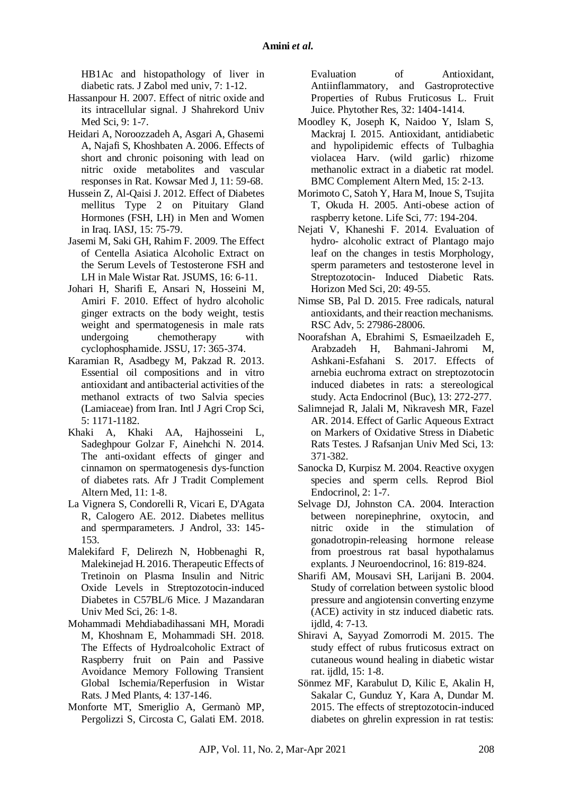HB1Ac and histopathology of liver in diabetic rats. J Zabol med univ, 7: 1-12.

- Hassanpour H. 2007. Effect of nitric oxide and its intracellular signal. J Shahrekord Univ Med Sci, 9: 1-7.
- Heidari A, Noroozzadeh A, Asgari A, Ghasemi A, Najafi S, Khoshbaten A. 2006. Effects of short and chronic poisoning with lead on nitric oxide metabolites and vascular responses in Rat. Kowsar Med J, 11: 59-68.
- Hussein Z, Al-Qaisi J. 2012. Effect of Diabetes mellitus Type 2 on Pituitary Gland Hormones (FSH, LH) in Men and Women in Iraq. IASJ, 15: 75-79.
- Jasemi M, Saki GH, Rahim F. 2009. The Effect of Centella Asiatica Alcoholic Extract on the Serum Levels of Testosterone FSH and LH in Male Wistar Rat. JSUMS, 16: 6-11.
- Johari H, Sharifi E, Ansari N, Hosseini M, Amiri F. 2010. Effect of hydro alcoholic ginger extracts on the body weight, testis weight and spermatogenesis in male rats undergoing chemotherapy with cyclophosphamide. JSSU, 17: 365-374.
- Karamian R, Asadbegy M, Pakzad R. 2013. Essential oil compositions and in vitro antioxidant and antibacterial activities of the methanol extracts of two Salvia species (Lamiaceae) from Iran. Intl J Agri Crop Sci, 5: 1171-1182.
- Khaki A, Khaki AA, Hajhosseini L, Sadeghpour Golzar F, Ainehchi N. 2014. The anti-oxidant effects of ginger and cinnamon on spermatogenesis dys-function of diabetes rats. Afr J Tradit Complement Altern Med, 11: 1-8.
- La Vignera S, Condorelli R, Vicari E, D'Agata R, Calogero AE. 2012. Diabetes mellitus and spermparameters. J Androl, 33: 145- 153.
- Malekifard F, Delirezh N, Hobbenaghi R, Malekinejad H. 2016. Therapeutic Effects of Tretinoin on Plasma Insulin and Nitric Oxide Levels in Streptozotocin-induced Diabetes in C57BL/6 Mice. J Mazandaran Univ Med Sci, 26: 1-8.
- Mohammadi Mehdiabadihassani MH, Moradi M, Khoshnam E, Mohammadi SH. 2018. The Effects of Hydroalcoholic Extract of Raspberry fruit on Pain and Passive Avoidance Memory Following Transient Global Ischemia/Reperfusion in Wistar Rats. J Med Plants, 4: 137-146.
- Monforte MT, Smeriglio A, Germanò MP, Pergolizzi S, Circosta C, Galati EM. 2018.

Evaluation of Antioxidant, Antiinflammatory, and Gastroprotective Properties of Rubus Fruticosus L. Fruit Juice. Phytother Res, 32: 1404-1414.

- Moodley K, Joseph K, Naidoo Y, Islam S, Mackraj I. 2015. Antioxidant, antidiabetic and hypolipidemic effects of Tulbaghia violacea Harv. (wild garlic) rhizome methanolic extract in a diabetic rat model. BMC Complement Altern Med, 15: 2-13.
- Morimoto C, Satoh Y, Hara M, Inoue S, Tsujita T, Okuda H. 2005. Anti-obese action of raspberry ketone. Life Sci, 77: 194-204.
- Nejati V, Khaneshi F. 2014. Evaluation of hydro- alcoholic extract of Plantago majo leaf on the changes in testis Morphology, sperm parameters and testosterone level in Streptozotocin- Induced Diabetic Rats. Horizon Med Sci, 20: 49-55.
- Nimse SB, Pal D. 2015. Free radicals, natural antioxidants, and their reaction mechanisms. RSC Adv, 5: 27986-28006.
- Noorafshan A, Ebrahimi S, Esmaeilzadeh E, Arabzadeh H, Bahmani-Jahromi M, Ashkani-Esfahani S. 2017. Effects of arnebia euchroma extract on streptozotocin induced diabetes in rats: a stereological study. Acta Endocrinol (Buc), 13: 272-277.
- Salimnejad R, Jalali M, Nikravesh MR, Fazel AR. 2014. Effect of Garlic Aqueous Extract on Markers of Oxidative Stress in Diabetic Rats Testes. J Rafsanjan Univ Med Sci, 13: 371-382.
- Sanocka D, Kurpisz M. 2004. Reactive oxygen species and sperm cells. Reprod Biol Endocrinol, 2: 1-7.
- Selvage DJ, Johnston CA. 2004. Interaction between norepinephrine, oxytocin, and nitric oxide in the stimulation of gonadotropin-releasing hormone release from proestrous rat basal hypothalamus explants. J Neuroendocrinol, 16: 819-824.
- Sharifi AM, Mousavi SH, Larijani B. 2004. Study of correlation between systolic blood pressure and angiotensin converting enzyme (ACE) activity in stz induced diabetic rats. ijdld, 4: 7-13.
- Shiravi A, Sayyad Zomorrodi M. 2015. The study effect of rubus fruticosus extract on cutaneous wound healing in diabetic wistar rat. ijdld, 15: 1-8.
- Sönmez MF, Karabulut D, Kilic E, Akalin H, Sakalar C, Gunduz Y, Kara A, Dundar M. 2015. The effects of streptozotocin-induced diabetes on ghrelin expression in rat testis: